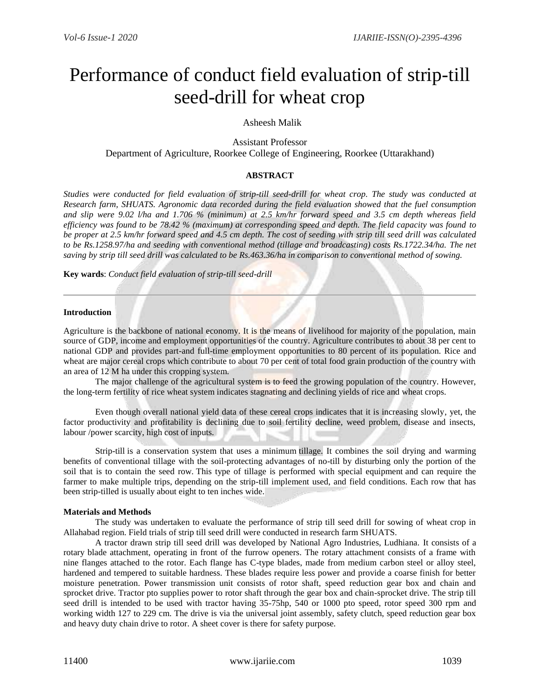# Performance of conduct field evaluation of strip-till seed-drill for wheat crop

# Asheesh Malik

Assistant Professor Department of Agriculture, Roorkee College of Engineering, Roorkee (Uttarakhand)

## **ABSTRACT**

*Studies were conducted for field evaluation of strip-till seed-drill for wheat crop. The study was conducted at Research farm, SHUATS. Agronomic data recorded during the field evaluation showed that the fuel consumption and slip were 9.02 l/ha and 1.706 % (minimum) at 2.5 km/hr forward speed and 3.5 cm depth whereas field efficiency was found to be 78.42 % (maximum) at corresponding speed and depth. The field capacity was found to be proper at 2.5 km/hr forward speed and 4.5 cm depth. The cost of seeding with strip till seed drill was calculated to be Rs.1258.97/ha and seeding with conventional method (tillage and broadcasting) costs Rs.1722.34/ha. The net saving by strip till seed drill was calculated to be Rs.463.36/ha in comparison to conventional method of sowing.*

**Key wards**: *Conduct field evaluation of strip-till seed-drill*

#### **Introduction**

Agriculture is the backbone of national economy. It is the means of livelihood for majority of the population, main source of GDP, income and employment opportunities of the country. Agriculture contributes to about 38 per cent to national GDP and provides part-and full-time employment opportunities to 80 percent of its population. Rice and wheat are major cereal crops which contribute to about 70 per cent of total food grain production of the country with an area of 12 M ha under this cropping system.

The major challenge of the agricultural system is to feed the growing population of the country. However, the long-term fertility of rice wheat system indicates stagnating and declining yields of rice and wheat crops.

Even though overall national yield data of these cereal crops indicates that it is increasing slowly, yet, the factor productivity and profitability is declining due to soil fertility decline, weed problem, disease and insects, labour /power scarcity, high cost of inputs.

Strip-till is a conservation system that uses a minimum tillage. It combines the soil drying and warming benefits of conventional tillage with the soil-protecting advantages of no-till by disturbing only the portion of the soil that is to contain the seed row. This type of tillage is performed with special equipment and can require the farmer to make multiple trips, depending on the strip-till implement used, and field conditions. Each row that has been strip-tilled is usually about eight to ten inches wide.

#### **Materials and Methods**

The study was undertaken to evaluate the performance of strip till seed drill for sowing of wheat crop in Allahabad region. Field trials of strip till seed drill were conducted in research farm SHUATS.

A tractor drawn strip till seed drill was developed by National Agro Industries, Ludhiana. It consists of a rotary blade attachment, operating in front of the furrow openers. The rotary attachment consists of a frame with nine flanges attached to the rotor. Each flange has C-type blades, made from medium carbon steel or alloy steel, hardened and tempered to suitable hardness. These blades require less power and provide a coarse finish for better moisture penetration. Power transmission unit consists of rotor shaft, speed reduction gear box and chain and sprocket drive. Tractor pto supplies power to rotor shaft through the gear box and chain-sprocket drive. The strip till seed drill is intended to be used with tractor having 35-75hp, 540 or 1000 pto speed, rotor speed 300 rpm and working width 127 to 229 cm. The drive is via the universal joint assembly, safety clutch, speed reduction gear box and heavy duty chain drive to rotor. A sheet cover is there for safety purpose.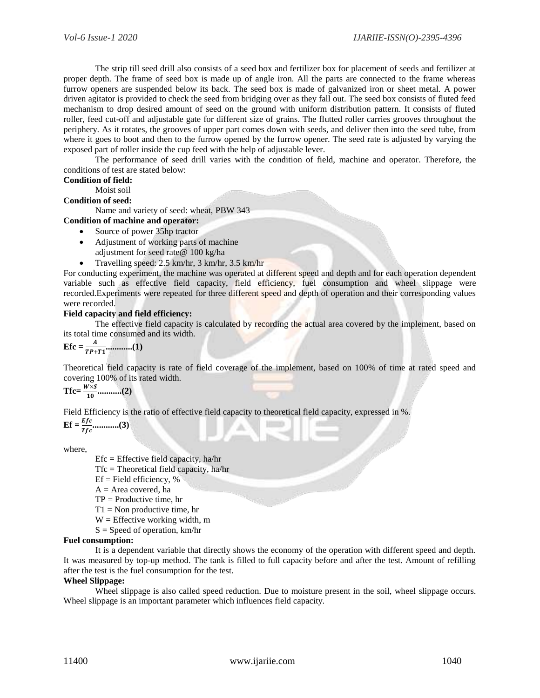The strip till seed drill also consists of a seed box and fertilizer box for placement of seeds and fertilizer at proper depth. The frame of seed box is made up of angle iron. All the parts are connected to the frame whereas furrow openers are suspended below its back. The seed box is made of galvanized iron or sheet metal. A power driven agitator is provided to check the seed from bridging over as they fall out. The seed box consists of fluted feed mechanism to drop desired amount of seed on the ground with uniform distribution pattern. It consists of fluted roller, feed cut-off and adjustable gate for different size of grains. The flutted roller carries grooves throughout the periphery. As it rotates, the grooves of upper part comes down with seeds, and deliver then into the seed tube, from where it goes to boot and then to the furrow opened by the furrow opener. The seed rate is adjusted by varying the exposed part of roller inside the cup feed with the help of adjustable lever.

The performance of seed drill varies with the condition of field, machine and operator. Therefore, the conditions of test are stated below:

# **Condition of field:**

Moist soil

#### **Condition of seed:**

Name and variety of seed: wheat, PBW 343

## **Condition of machine and operator:**

- Source of power 35hp tractor
- Adjustment of working parts of machine adjustment for seed rate@ 100 kg/ha
- Travelling speed: 2.5 km/hr, 3 km/hr, 3.5 km/hr

For conducting experiment, the machine was operated at different speed and depth and for each operation dependent variable such as effective field capacity, field efficiency, fuel consumption and wheel slippage were recorded.Experiments were repeated for three different speed and depth of operation and their corresponding values were recorded.

#### **Field capacity and field efficiency:**

The effective field capacity is calculated by recording the actual area covered by the implement, based on its total time consumed and its width.

**Efc =**  + **............(1)**

Theoretical field capacity is rate of field coverage of the implement, based on 100% of time at rated speed and covering 100% of its rated width.

 $Tfc = \frac{W \times S}{4.2}$ **...........(2)**

Field Efficiency is the ratio of effective field capacity to theoretical field capacity, expressed in %.

$$
\mathbf{Ef} = \frac{Efc}{Tfc}
$$
........(3)

where,

 $Efc = Effective field capacity, ha/hr$ 

Tfc = Theoretical field capacity, ha/hr

 $Ef = Field$  efficiency, %

 $A = Area covered$ , ha

 $TP = Productive time, hr$ 

 $T1 =$  Non productive time, hr

 $W =$  Effective working width, m

 $S =$  Speed of operation, km/hr

#### **Fuel consumption:**

It is a dependent variable that directly shows the economy of the operation with different speed and depth. It was measured by top-up method. The tank is filled to full capacity before and after the test. Amount of refilling after the test is the fuel consumption for the test.

#### **Wheel Slippage:**

Wheel slippage is also called speed reduction. Due to moisture present in the soil, wheel slippage occurs. Wheel slippage is an important parameter which influences field capacity.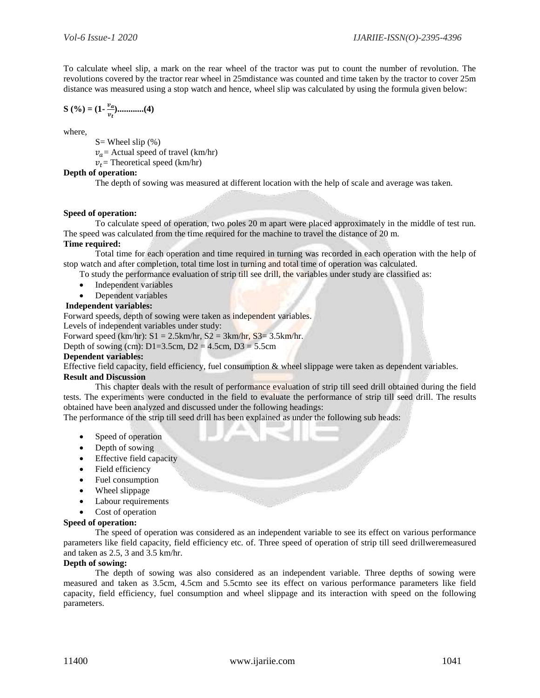To calculate wheel slip, a mark on the rear wheel of the tractor was put to count the number of revolution. The revolutions covered by the tractor rear wheel in 25mdistance was counted and time taken by the tractor to cover 25m distance was measured using a stop watch and hence, wheel slip was calculated by using the formula given below:

$$
S(0/6) = (1 - \frac{v_a}{v_t}) \dots \dots \dots (4)
$$

where,

 $S=$  Wheel slip  $(\%)$ 

 $v_a$  = Actual speed of travel (km/hr)

 $v_t$  = Theoretical speed (km/hr)

#### **Depth of operation:**

The depth of sowing was measured at different location with the help of scale and average was taken.

#### **Speed of operation:**

To calculate speed of operation, two poles 20 m apart were placed approximately in the middle of test run. The speed was calculated from the time required for the machine to travel the distance of 20 m.

#### **Time required:**

Total time for each operation and time required in turning was recorded in each operation with the help of stop watch and after completion, total time lost in turning and total time of operation was calculated.

- To study the performance evaluation of strip till see drill, the variables under study are classified as:
- Independent variables
- Dependent variables

## **Independent variables:**

Forward speeds, depth of sowing were taken as independent variables.

Levels of independent variables under study:

Forward speed  $(km/hr)$ :  $S1 = 2.5km/hr$ ,  $S2 = 3km/hr$ ,  $S3 = 3.5km/hr$ .

Depth of sowing (cm):  $D1=3.5cm$ ,  $D2 = 4.5cm$ ,  $D3 = 5.5cm$ 

#### **Dependent variables:**

Effective field capacity, field efficiency, fuel consumption & wheel slippage were taken as dependent variables.

## **Result and Discussion**

This chapter deals with the result of performance evaluation of strip till seed drill obtained during the field tests. The experiments were conducted in the field to evaluate the performance of strip till seed drill. The results obtained have been analyzed and discussed under the following headings:

The performance of the strip till seed drill has been explained as under the following sub heads:

- Speed of operation
- Depth of sowing
- Effective field capacity
- Field efficiency
- Fuel consumption
- Wheel slippage
- Labour requirements
- Cost of operation

#### **Speed of operation:**

The speed of operation was considered as an independent variable to see its effect on various performance parameters like field capacity, field efficiency etc. of. Three speed of operation of strip till seed drillweremeasured and taken as 2.5, 3 and 3.5 km/hr.

#### **Depth of sowing:**

The depth of sowing was also considered as an independent variable. Three depths of sowing were measured and taken as 3.5cm, 4.5cm and 5.5cmto see its effect on various performance parameters like field capacity, field efficiency, fuel consumption and wheel slippage and its interaction with speed on the following parameters.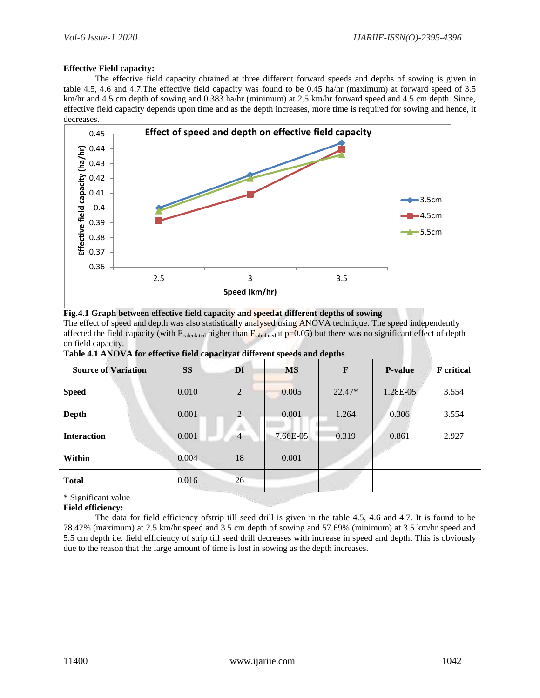#### **Effective Field capacity:**

The effective field capacity obtained at three different forward speeds and depths of sowing is given in table 4.5, 4.6 and 4.7.The effective field capacity was found to be 0.45 ha/hr (maximum) at forward speed of 3.5 km/hr and 4.5 cm depth of sowing and 0.383 ha/hr (minimum) at 2.5 km/hr forward speed and 4.5 cm depth. Since, effective field capacity depends upon time and as the depth increases, more time is required for sowing and hence, it decreases.





The effect of speed and depth was also statistically analysed using ANOVA technique. The speed independently affected the field capacity (with  $F_{calculated}$  higher than  $F_{tabulated}$  at  $p=0.05$ ) but there was no significant effect of depth on field capacity.

| <b>Source of Variation</b> | <b>SS</b> | $\sim$ $\sim$ $\sim$ $\sim$ $\sim$ $\sim$ $\sim$ $\sim$<br>Df | <b>MS</b> | $\mathbf{F}$ | <b>P-value</b> | <b>F</b> critical |
|----------------------------|-----------|---------------------------------------------------------------|-----------|--------------|----------------|-------------------|
| <b>Speed</b>               | 0.010     | 2                                                             | 0.005     | $22.47*$     | 1.28E-05       | 3.554             |
| Depth                      | 0.001     | 2                                                             | 0.001     | 1.264        | 0.306          | 3.554             |
| <b>Interaction</b>         | 0.001     | 4                                                             | 7.66E-05  | 0.319        | 0.861          | 2.927             |
| Within                     | 0.004     | 18                                                            | 0.001     |              |                |                   |
| <b>Total</b>               | 0.016     | 26                                                            |           |              |                |                   |

\* Significant value

**Field efficiency:**

The data for field efficiency ofstrip till seed drill is given in the table 4.5, 4.6 and 4.7. It is found to be 78.42% (maximum) at 2.5 km/hr speed and 3.5 cm depth of sowing and 57.69% (minimum) at 3.5 km/hr speed and 5.5 cm depth i.e. field efficiency of strip till seed drill decreases with increase in speed and depth. This is obviously due to the reason that the large amount of time is lost in sowing as the depth increases.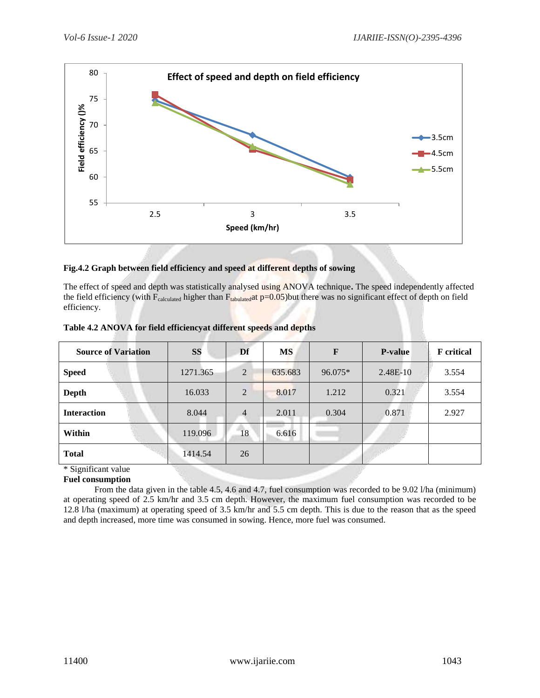

#### **Fig.4.2 Graph between field efficiency and speed at different depths of sowing**

The effect of speed and depth was statistically analysed using ANOVA technique**.** The speed independently affected the field efficiency (with  $F_{calculated}$  higher than  $F_{tabulated}$ at p=0.05)but there was no significant effect of depth on field efficiency.

| <b>Source of Variation</b> | <b>SS</b> | Df             | <b>MS</b> | F       | <b>P-value</b> | <b>F</b> critical |
|----------------------------|-----------|----------------|-----------|---------|----------------|-------------------|
| <b>Speed</b>               | 1271.365  | $\overline{2}$ | 635.683   | 96.075* | 2.48E-10       | 3.554             |
| <b>Depth</b>               | 16.033    | $\overline{2}$ | 8.017     | 1.212   | 0.321          | 3.554             |
| <b>Interaction</b>         | 8.044     | $\overline{4}$ | 2.011     | 0.304   | 0.871          | 2.927             |
| Within                     | 119.096   | 18             | 6.616     |         |                |                   |
| <b>Total</b>               | 1414.54   | 26             |           |         |                |                   |
| $\&$ Cianificant value     |           |                |           |         |                |                   |

|  | Table 4.2 ANOVA for field efficiencyat different speeds and depths |  |  |
|--|--------------------------------------------------------------------|--|--|
|--|--------------------------------------------------------------------|--|--|

Significant value

# **Fuel consumption**

 From the data given in the table 4.5, 4.6 and 4.7, fuel consumption was recorded to be 9.02 l/ha (minimum) at operating speed of 2.5 km/hr and 3.5 cm depth. However, the maximum fuel consumption was recorded to be 12.8 l/ha (maximum) at operating speed of 3.5 km/hr and 5.5 cm depth. This is due to the reason that as the speed and depth increased, more time was consumed in sowing. Hence, more fuel was consumed.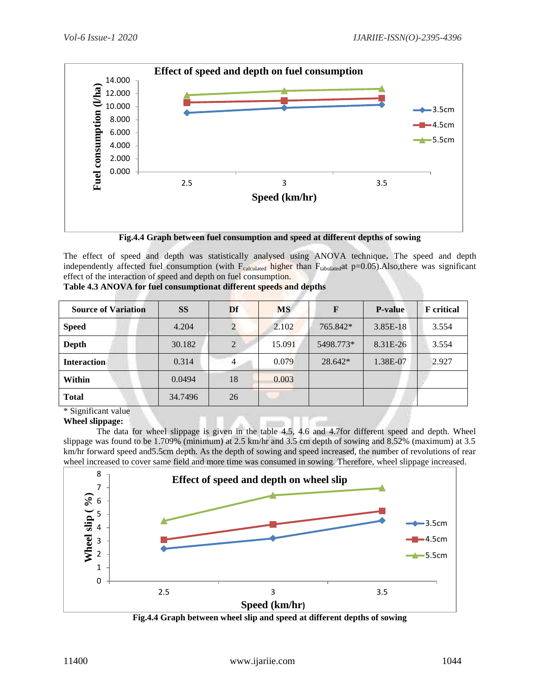

**Fig.4.4 Graph between fuel consumption and speed at different depths of sowing**

The effect of speed and depth was statistically analysed using ANOVA technique**.** The speed and depth independently affected fuel consumption (with  $F_{calculated}$  higher than  $F_{tabulated}$ at p=0.05).Also,there was significant effect of the interaction of speed and depth on fuel consumption.

| <b>Source of Variation</b>                                                    | <b>SS</b> | Df | <b>MS</b> | F         | <b>P-value</b> | <b>F</b> critical |
|-------------------------------------------------------------------------------|-----------|----|-----------|-----------|----------------|-------------------|
| <b>Speed</b>                                                                  | 4.204     |    | 2.102     | 765.842*  | 3.85E-18       | 3.554             |
| Depth                                                                         | 30.182    | 2  | 15.091    | 5498.773* | 8.31E-26       | 3.554             |
| <b>Interaction</b>                                                            | 0.314     |    | 0.079     | 28.642*   | 1.38E-07       | 2.927             |
| Within                                                                        | 0.0494    | 18 | 0.003     |           |                |                   |
| <b>Total</b>                                                                  | 34.7496   | 26 |           |           |                |                   |
| $\mathbf{a}$ .<br>$\cdot$ $\sim$<br>$\sim$ $\sim$ $\sim$ $\sim$ $\sim$ $\sim$ |           |    |           |           |                |                   |

| Table 4.3 ANOVA for fuel consumptionat different speeds and depths |  |  |  |  |
|--------------------------------------------------------------------|--|--|--|--|
|--------------------------------------------------------------------|--|--|--|--|

\* Significant value

**Wheel slippage:**

 The data for wheel slippage is given in the table 4.5, 4.6 and 4.7for different speed and depth. Wheel slippage was found to be 1.709% (minimum) at 2.5 km/hr and 3.5 cm depth of sowing and 8.52% (maximum) at 3.5 km/hr forward speed and 5.5cm depth. As the depth of sowing and speed increased, the number of revolutions of rear wheel increased to cover same field and more time was consumed in sowing. Therefore, wheel slippage increased.



**Fig.4.4 Graph between wheel slip and speed at different depths of sowing**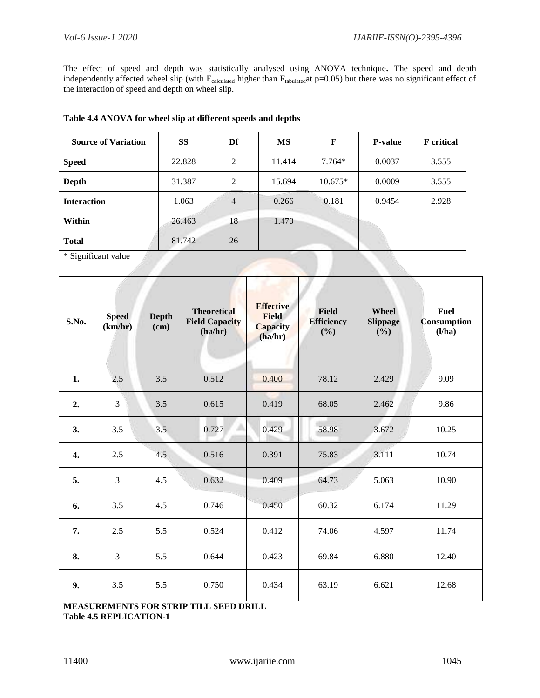The effect of speed and depth was statistically analysed using ANOVA technique**.** The speed and depth independently affected wheel slip (with  $F_{calculated}$  higher than  $F_{tabulated}$ at p=0.05) but there was no significant effect of the interaction of speed and depth on wheel slip.

## **Table 4.4 ANOVA for wheel slip at different speeds and depths**

| <b>Source of Variation</b> | SS     | Df             | MS     | F         | <b>P-value</b> | <b>F</b> critical |
|----------------------------|--------|----------------|--------|-----------|----------------|-------------------|
| <b>Speed</b>               | 22.828 | 2              | 11.414 | $7.764*$  | 0.0037         | 3.555             |
| Depth                      | 31.387 | 2              | 15.694 | $10.675*$ | 0.0009         | 3.555             |
| <b>Interaction</b>         | 1.063  | $\overline{4}$ | 0.266  | 0.181     | 0.9454         | 2.928             |
| Within                     | 26.463 | 18             | 1.470  |           |                |                   |
| <b>Total</b>               | 81.742 | 26             |        |           |                |                   |

\* Significant value

| S.No. | <b>Speed</b><br>(km/hr) | <b>Depth</b><br>(cm) | <b>Theoretical</b><br><b>Field Capacity</b><br>(ha/hr) | <b>Effective</b><br><b>Field</b><br><b>Capacity</b><br>(ha/hr) | <b>Field</b><br><b>Efficiency</b><br>(%) | Wheel<br><b>Slippage</b><br>(%) | <b>Fuel</b><br><b>Consumption</b><br>(l/ha) |
|-------|-------------------------|----------------------|--------------------------------------------------------|----------------------------------------------------------------|------------------------------------------|---------------------------------|---------------------------------------------|
| 1.    | 2.5                     | 3.5                  | 0.512                                                  | 0.400                                                          | 78.12                                    | 2.429                           | 9.09                                        |
| 2.    | 3                       | 3.5                  | 0.615                                                  | 0.419                                                          | 68.05                                    | 2.462                           | 9.86                                        |
| 3.    | 3.5                     | 3.5                  | 0.727                                                  | 0.429                                                          | 58.98                                    | 3.672                           | 10.25                                       |
| 4.    | 2.5                     | 4.5                  | 0.516                                                  | 0.391                                                          | 75.83                                    | 3.111                           | 10.74                                       |
| 5.    | 3                       | 4.5                  | 0.632                                                  | 0.409                                                          | 64.73                                    | 5.063                           | 10.90                                       |
| 6.    | 3.5                     | 4.5                  | 0.746                                                  | 0.450                                                          | 60.32                                    | 6.174                           | 11.29                                       |
| 7.    | 2.5                     | 5.5                  | 0.524                                                  | 0.412                                                          | 74.06                                    | 4.597                           | 11.74                                       |
| 8.    | $\overline{3}$          | 5.5                  | 0.644                                                  | 0.423                                                          | 69.84                                    | 6.880                           | 12.40                                       |
| 9.    | 3.5                     | 5.5                  | 0.750                                                  | 0.434                                                          | 63.19                                    | 6.621                           | 12.68                                       |

**MEASUREMENTS FOR STRIP TILL SEED DRILL Table 4.5 REPLICATION-1**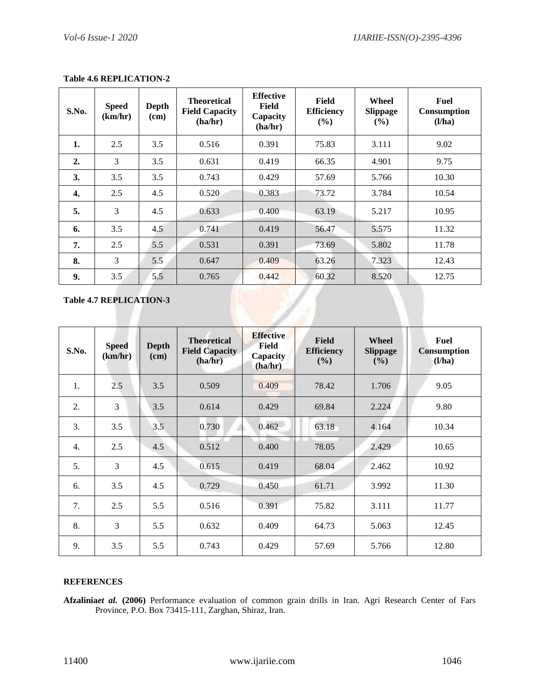| S.No.            | <b>Speed</b><br>(km/hr) | <b>Depth</b><br>(cm) | <b>Theoretical</b><br><b>Field Capacity</b><br>(ha/hr) | <b>Effective</b><br>Field<br>Capacity<br>(ha/hr) | Field<br><b>Efficiency</b><br>(%) | Wheel<br><b>Slippage</b><br>$(\%)$ | Fuel<br><b>Consumption</b><br>(l/ha) |
|------------------|-------------------------|----------------------|--------------------------------------------------------|--------------------------------------------------|-----------------------------------|------------------------------------|--------------------------------------|
| 1.               | 2.5                     | 3.5                  | 0.516                                                  | 0.391                                            | 75.83                             | 3.111                              | 9.02                                 |
| $\overline{2}$ . | 3                       | 3.5                  | 0.631                                                  | 0.419                                            | 66.35                             | 4.901                              | 9.75                                 |
| 3.               | 3.5                     | 3.5                  | 0.743                                                  | 0.429                                            | 57.69                             | 5.766                              | 10.30                                |
| 4.               | 2.5                     | 4.5                  | 0.520                                                  | 0.383                                            | 73.72                             | 3.784                              | 10.54                                |
| 5.               | 3                       | 4.5                  | 0.633                                                  | 0.400                                            | 63.19                             | 5.217                              | 10.95                                |
| 6.               | 3.5                     | 4.5                  | 0.741                                                  | 0.419                                            | 56.47                             | 5.575                              | 11.32                                |
| 7.               | 2.5                     | 5.5                  | 0.531                                                  | 0.391                                            | 73.69                             | 5.802                              | 11.78                                |
| 8.               | 3                       | 5.5                  | 0.647                                                  | 0.409                                            | 63.26                             | 7.323                              | 12.43                                |
| 9.               | 3.5                     | 5.5                  | 0.765                                                  | 0.442                                            | 60.32                             | 8.520                              | 12.75                                |

# **Table 4.6 REPLICATION-2**

**Table 4.7 REPLICATION-3**

| S.No. | <b>Speed</b><br>(km/hr) | <b>Depth</b><br>(cm) | <b>Theoretical</b><br><b>Field Capacity</b><br>(ha/hr) | <b>Effective</b><br>Field<br>Capacity<br>(ha/hr) | <b>Field</b><br><b>Efficiency</b><br>(%) | Wheel<br><b>Slippage</b><br>(%) | <b>Fuel</b><br><b>Consumption</b><br>(l/ha) |
|-------|-------------------------|----------------------|--------------------------------------------------------|--------------------------------------------------|------------------------------------------|---------------------------------|---------------------------------------------|
| 1.    | 2.5                     | 3.5                  | 0.509                                                  | 0.409                                            | 78.42                                    | 1.706                           | 9.05                                        |
| 2.    | 3                       | 3.5                  | 0.614                                                  | 0.429                                            | 69.84                                    | 2.224                           | 9.80                                        |
| 3.    | 3.5                     | 3.5                  | 0.730                                                  | 0.462                                            | 63.18                                    | 4.164                           | 10.34                                       |
| 4.    | 2.5                     | 4.5                  | 0.512                                                  | 0.400                                            | 78.05                                    | 2.429                           | 10.65                                       |
| 5.    | 3                       | 4.5                  | 0.615                                                  | 0.419                                            | 68.04                                    | 2.462                           | 10.92                                       |
| 6.    | 3.5                     | 4.5                  | 0.729                                                  | 0.450                                            | 61.71                                    | 3.992                           | 11.30                                       |
| 7.    | 2.5                     | 5.5                  | 0.516                                                  | 0.391                                            | 75.82                                    | 3.111                           | 11.77                                       |
| 8.    | 3                       | 5.5                  | 0.632                                                  | 0.409                                            | 64.73                                    | 5.063                           | 12.45                                       |
| 9.    | 3.5                     | 5.5                  | 0.743                                                  | 0.429                                            | 57.69                                    | 5.766                           | 12.80                                       |

# **REFERENCES**

**Afzalinia***et al.* **(2006)** Performance evaluation of common grain drills in Iran. Agri Research Center of Fars Province, P.O. Box 73415-111, Zarghan, Shiraz, Iran.